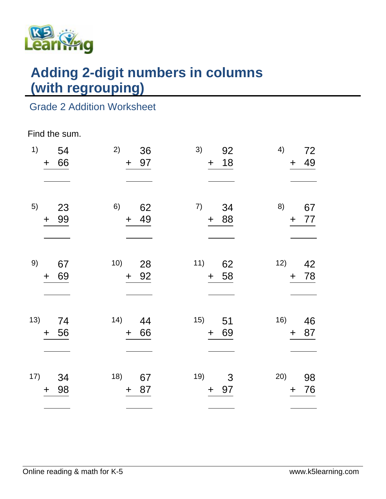

# **Adding 2-digit numbers in columns (with regrouping)**

## Grade 2 Addition Worksheet

#### Find the sum.

| 1)  | 54<br>66<br>$\mathbf +$ | 2)<br>36<br>97<br>$+$       | 3)<br>92<br>18<br>$\ddagger$ | 4)<br>72<br>49<br>$\pm$  |
|-----|-------------------------|-----------------------------|------------------------------|--------------------------|
| 5)  | 23<br>99<br>$\ddot{}$   | 6)<br>62<br>49<br>$\pm$     | 7)<br>34<br>+ 88             | 8)<br>67<br>77<br>$+$    |
| 9)  | 67<br>69<br>$\ddag$     | 10)<br>28<br>92<br>$+$      | 11)<br>62<br>58<br>$\pm$     | 12)<br>42<br>78<br>$\pm$ |
| 13) | 74<br>56<br>$\ddag$     | (14)<br>44<br>66<br>$\ddag$ | 15)<br>51<br>69<br>$+$       | 16)<br>46<br>87<br>$\pm$ |
| 17) | 34<br>98<br>$\ddag$     | 18)<br>67<br>87<br>$\pm$    | 19)<br>3<br>97<br>$\pm$      | 20)<br>98<br>76<br>$\pm$ |